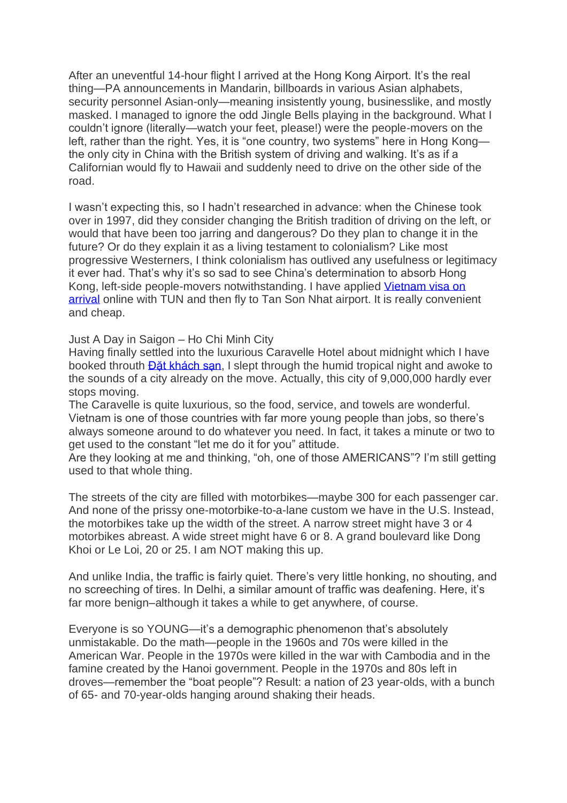After an uneventful 14-hour flight I arrived at the Hong Kong Airport. It's the real thing—PA announcements in Mandarin, billboards in various Asian alphabets, security personnel Asian-only—meaning insistently young, businesslike, and mostly masked. I managed to ignore the odd Jingle Bells playing in the background. What I couldn't ignore (literally—watch your feet, please!) were the people-movers on the left, rather than the right. Yes, it is "one country, two systems" here in Hong Kong the only city in China with the British system of driving and walking. It's as if a Californian would fly to Hawaii and suddenly need to drive on the other side of the road.

I wasn't expecting this, so I hadn't researched in advance: when the Chinese took over in 1997, did they consider changing the British tradition of driving on the left, or would that have been too jarring and dangerous? Do they plan to change it in the future? Or do they explain it as a living testament to colonialism? Like most progressive Westerners, I think colonialism has outlived any usefulness or legitimacy it ever had. That's why it's so sad to see China's determination to absorb Hong Kong, left-side people-movers notwithstanding. I have applied Vietnam visa on [arrival](https://www.hotels-in-vietnam.com/vietnam/vietnam-visa.html) online with TUN and then fly to Tan Son Nhat airport. It is really convenient and cheap.

Just A Day in Saigon – Ho Chi Minh City

Having finally settled into the luxurious Caravelle Hotel about midnight which I have booked throuth [Đặt khách sạn,](http://www.dulichso.com/) I slept through the humid tropical night and awoke to the sounds of a city already on the move. Actually, this city of 9,000,000 hardly ever stops moving.

The Caravelle is quite luxurious, so the food, service, and towels are wonderful. Vietnam is one of those countries with far more young people than jobs, so there's always someone around to do whatever you need. In fact, it takes a minute or two to get used to the constant "let me do it for you" attitude.

Are they looking at me and thinking, "oh, one of those AMERICANS"? I'm still getting used to that whole thing.

The streets of the city are filled with motorbikes—maybe 300 for each passenger car. And none of the prissy one-motorbike-to-a-lane custom we have in the U.S. Instead, the motorbikes take up the width of the street. A narrow street might have 3 or 4 motorbikes abreast. A wide street might have 6 or 8. A grand boulevard like Dong Khoi or Le Loi, 20 or 25. I am NOT making this up.

And unlike India, the traffic is fairly quiet. There's very little honking, no shouting, and no screeching of tires. In Delhi, a similar amount of traffic was deafening. Here, it's far more benign–although it takes a while to get anywhere, of course.

Everyone is so YOUNG—it's a demographic phenomenon that's absolutely unmistakable. Do the math—people in the 1960s and 70s were killed in the American War. People in the 1970s were killed in the war with Cambodia and in the famine created by the Hanoi government. People in the 1970s and 80s left in droves—remember the "boat people"? Result: a nation of 23 year-olds, with a bunch of 65- and 70-year-olds hanging around shaking their heads.